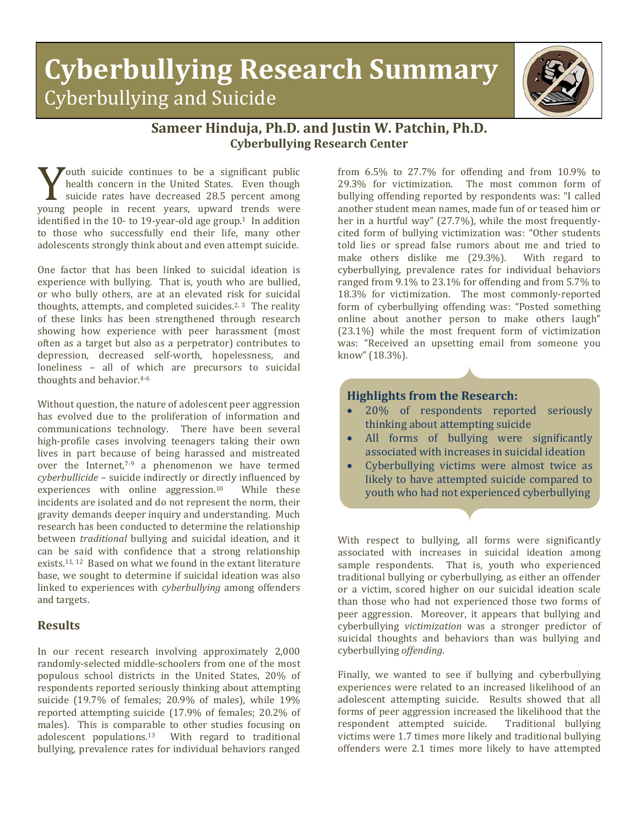# **Cyberbullying Research Summary** Cyberbullying and Suicide



## **Sameer Hinduja, Ph.D. and Justin W. Patchin, Ph.D. Cyberbullying Research Center**

**Touth** suicide continues to be a significant public health concern in the United States. Even though suicide rates have decreased 28.5 percent among whealth concern in the United States. Even though<br>suicide rates have decreased 28.5 percent among<br>young people in recent years, upward trends were<br>identified in the 10- to 19-year-old are groun l. In addition identified in the 10- to 19-vear-old age group.<sup>1</sup> In addition to those who successfully end their life, many other adolescents strongly think about and even attempt suicide.

One factor that has been linked to suicidal ideation is experience with bullying. That is, youth who are bullied, or who bully others, are at an elevated risk for suicidal thoughts, attempts, and completed suicides.<sup>2, 3</sup> The reality of these links has been strengthened through research showing how experience with peer harassment (most often as a target but also as a perpetrator) contributes to depression, decreased self-worth, hopelessness, and loneliness – all of which are precursors to suicidal thoughts and behavior.4-6

Without question, the nature of adolescent peer aggression has evolved due to the proliferation of information and communications technology. There have been several high-profile cases involving teenagers taking their own lives in part because of being harassed and mistreated over the Internet, $7-9$  a phenomenon we have termed *cyberbullicide* – suicide indirectly or directly influenced by experiences with online aggression.<sup>10</sup> While these experiences with online aggression. $10$ incidents are isolated and do not represent the norm, their gravity demands deeper inquiry and understanding. Much research has been conducted to determine the relationship between *traditional* bullying and suicidal ideation, and it can be said with confidence that a strong relationship exists.<sup>11, 12</sup> Based on what we found in the extant literature base, we sought to determine if suicidal ideation was also linked to experiences with *cyberbullying* among offenders and targets.

### **Results**

In our recent research involving approximately 2,000 randomly-selected middle-schoolers from one of the most populous school districts in the United States, 20% of respondents reported seriously thinking about attempting suicide (19.7% of females; 20.9% of males), while 19% reported attempting suicide (17.9% of females; 20.2% of males). This is comparable to other studies focusing on adolescent populations.13 With regard to traditional bullying, prevalence rates for individual behaviors ranged from 6.5% to 27.7% for offending and from 10.9% to 29.3% for victimization. The most common form of bullying offending reported by respondents was: "I called another student mean names, made fun of or teased him or her in a hurtful way" (27.7%), while the most frequentlycited form of bullying victimization was: "Other students told lies or spread false rumors about me and tried to make others dislike me (29.3%). With regard to make others dislike me  $(29.3\%)$ . cyberbullying, prevalence rates for individual behaviors ranged from 9.1% to 23.1% for offending and from 5.7% to 18.3% for victimization. The most commonly-reported form of cyberbullying offending was: "Posted something online about another person to make others laugh" (23.1%) while the most frequent form of victimization was: "Received an upsetting email from someone you know" (18.3%).

#### **Highlights from the Research:**

- 20% of respondents reported seriously thinking about attempting suicide
- All forms of bullying were significantly associated with increases in suicidal ideation
- Cyberbullying victims were almost twice as likely to have attempted suicide compared to youth who had not experienced cyberbullying

With respect to bullying, all forms were significantly associated with increases in suicidal ideation among sample respondents. That is, youth who experienced traditional bullying or cyberbullying, as either an offender or a victim, scored higher on our suicidal ideation scale than those who had not experienced those two forms of peer aggression. Moreover, it appears that bullying and cyberbullying *victimization* was a stronger predictor of suicidal thoughts and behaviors than was bullying and cyberbullying *offending*.

Finally, we wanted to see if bullying and cyberbullying experiences were related to an increased likelihood of an adolescent attempting suicide. Results showed that all forms of peer aggression increased the likelihood that the respondent attempted suicide. Traditional bullying respondent attempted suicide. victims were 1.7 times more likely and traditional bullying offenders were 2.1 times more likely to have attempted